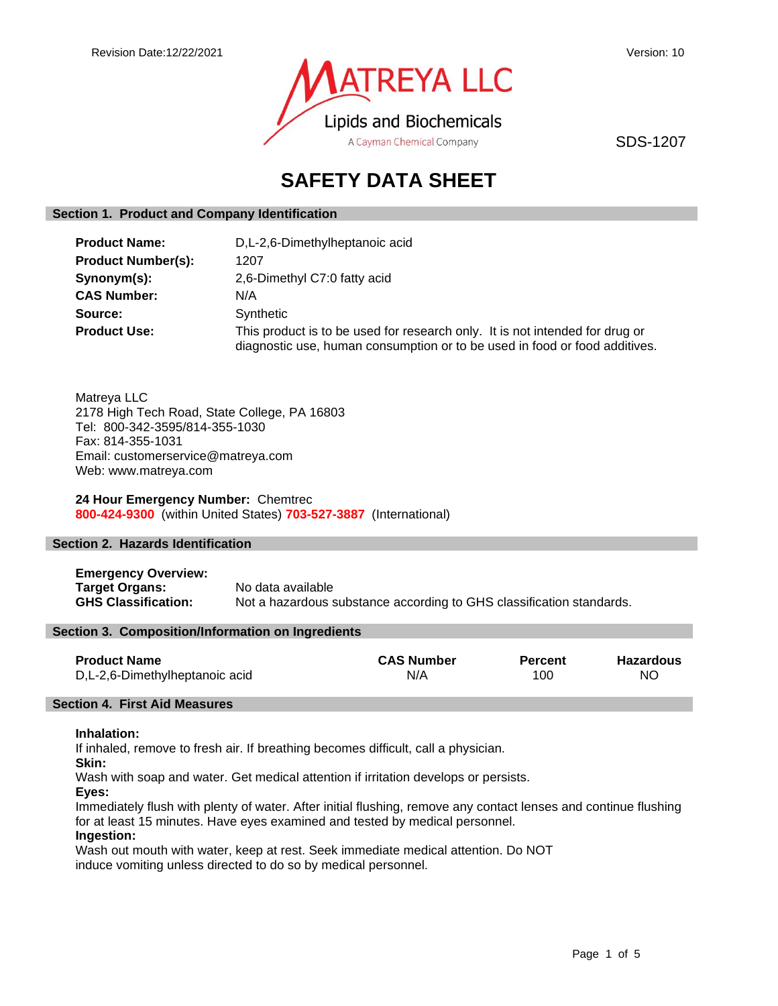

SDS-1207

# **SAFETY DATA SHEET**

#### **Section 1. Product and Company Identification**

| <b>Product Name:</b>      | D, L-2, 6-Dimethylheptanoic acid                                                                                                                           |
|---------------------------|------------------------------------------------------------------------------------------------------------------------------------------------------------|
| <b>Product Number(s):</b> | 1207                                                                                                                                                       |
| Synonym(s):               | 2,6-Dimethyl C7:0 fatty acid                                                                                                                               |
| <b>CAS Number:</b>        | N/A                                                                                                                                                        |
| Source:                   | Synthetic                                                                                                                                                  |
| <b>Product Use:</b>       | This product is to be used for research only. It is not intended for drug or<br>diagnostic use, human consumption or to be used in food or food additives. |

Matreya LLC 2178 High Tech Road, State College, PA 16803 Tel: 800-342-3595/814-355-1030 Fax: 814-355-1031 Email: customerservice@matreya.com Web: www.matreya.com

**24 Hour Emergency Number:** Chemtrec **800-424-9300** (within United States) **703-527-3887** (International)

# **Section 2. Hazards Identification**

**Emergency Overview: Target Organs:** No data available **GHS Classification:** Not a hazardous substance according to GHS classification standards.

#### **Section 3. Composition/Information on Ingredients**

| <b>Product Name</b>            | <b>CAS Number</b> | <b>Percent</b> | <b>Hazardous</b> |
|--------------------------------|-------------------|----------------|------------------|
| D,L-2,6-Dimethylheptanoic acid | N/A               | 100            | NC.              |

# **Section 4. First Aid Measures**

#### **Inhalation:**

If inhaled, remove to fresh air. If breathing becomes difficult, call a physician.

**Skin:**

Wash with soap and water. Get medical attention if irritation develops or persists.

**Eyes:**

Immediately flush with plenty of water. After initial flushing, remove any contact lenses and continue flushing for at least 15 minutes. Have eyes examined and tested by medical personnel.

# **Ingestion:**

Wash out mouth with water, keep at rest. Seek immediate medical attention. Do NOT induce vomiting unless directed to do so by medical personnel.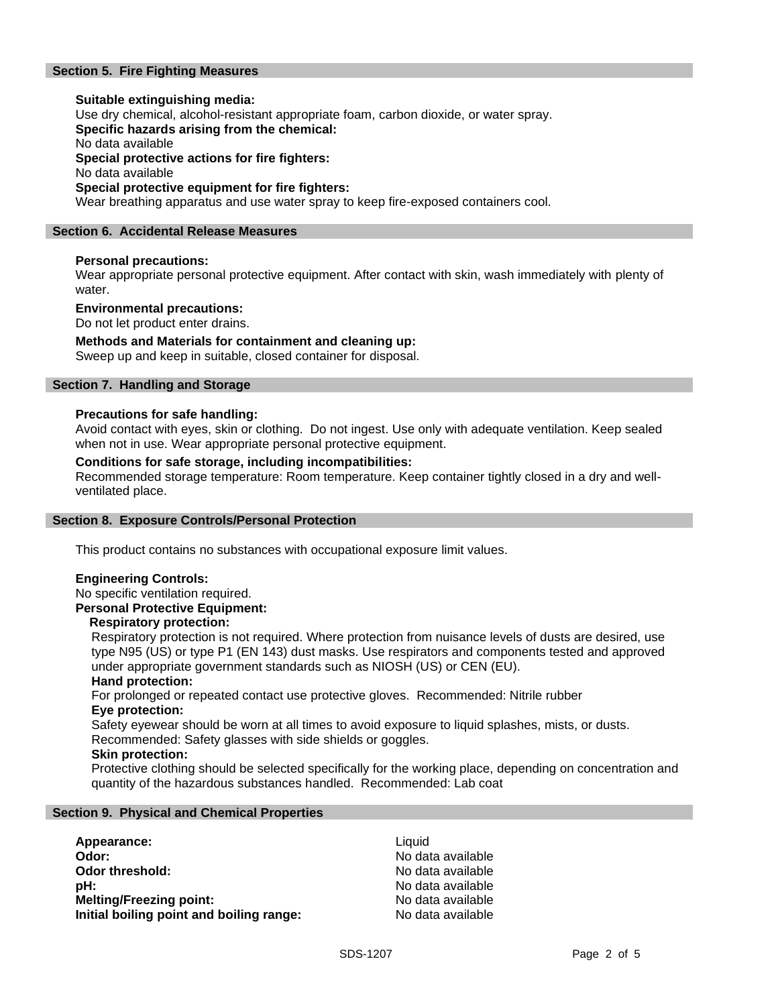# **Section 5. Fire Fighting Measures**

# **Suitable extinguishing media:**

Use dry chemical, alcohol-resistant appropriate foam, carbon dioxide, or water spray.

**Specific hazards arising from the chemical:**

No data available

**Special protective actions for fire fighters:**

No data available

# **Special protective equipment for fire fighters:**

Wear breathing apparatus and use water spray to keep fire-exposed containers cool.

### **Section 6. Accidental Release Measures**

#### **Personal precautions:**

Wear appropriate personal protective equipment. After contact with skin, wash immediately with plenty of water.

#### **Environmental precautions:**

Do not let product enter drains.

# **Methods and Materials for containment and cleaning up:**

Sweep up and keep in suitable, closed container for disposal.

#### **Section 7. Handling and Storage**

#### **Precautions for safe handling:**

Avoid contact with eyes, skin or clothing. Do not ingest. Use only with adequate ventilation. Keep sealed when not in use. Wear appropriate personal protective equipment.

#### **Conditions for safe storage, including incompatibilities:**

Recommended storage temperature: Room temperature. Keep container tightly closed in a dry and wellventilated place.

#### **Section 8. Exposure Controls/Personal Protection**

This product contains no substances with occupational exposure limit values.

#### **Engineering Controls:**

No specific ventilation required.

**Personal Protective Equipment:**

#### **Respiratory protection:**

Respiratory protection is not required. Where protection from nuisance levels of dusts are desired, use type N95 (US) or type P1 (EN 143) dust masks. Use respirators and components tested and approved under appropriate government standards such as NIOSH (US) or CEN (EU).

#### **Hand protection:**

For prolonged or repeated contact use protective gloves. Recommended: Nitrile rubber **Eye protection:**

Safety eyewear should be worn at all times to avoid exposure to liquid splashes, mists, or dusts. Recommended: Safety glasses with side shields or goggles.

#### **Skin protection:**

Protective clothing should be selected specifically for the working place, depending on concentration and quantity of the hazardous substances handled. Recommended: Lab coat

#### **Section 9. Physical and Chemical Properties**

| Appearance:                              | Liquid |
|------------------------------------------|--------|
| Odor:                                    | No da  |
| <b>Odor threshold:</b>                   | No da  |
| pH:                                      | No da  |
| <b>Melting/Freezing point:</b>           | No da  |
| Initial boiling point and boiling range: | No da  |

**Odor:** No data available No data available **pH:** No data available **Melting/Freezing point:** No data available **Initial boiling point and boiling range:** No data available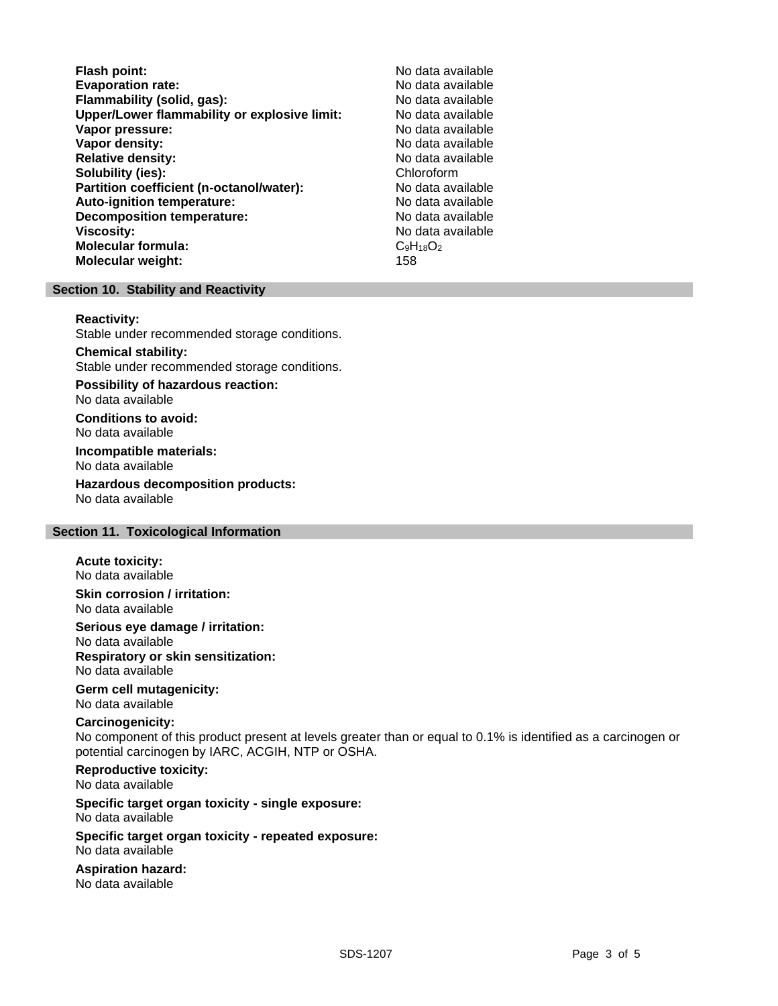| No data available |
|-------------------|
| No data available |
| No data available |
| No data available |
| No data available |
| No data available |
| No data available |
| Chloroform        |
| No data available |
| No data available |
| No data available |
| No data available |
| $C_9H_{18}O_2$    |
| 158               |
|                   |

#### **Section 10. Stability and Reactivity**

#### **Reactivity:**

Stable under recommended storage conditions.

#### **Chemical stability:**

Stable under recommended storage conditions.

**Possibility of hazardous reaction:** No data available

**Conditions to avoid:** No data available

**Incompatible materials:** No data available

**Hazardous decomposition products:** No data available

### **Section 11. Toxicological Information**

#### **Acute toxicity:**

No data available

**Skin corrosion / irritation:** No data available

**Serious eye damage / irritation:** No data available

**Respiratory or skin sensitization:** No data available

# **Germ cell mutagenicity:**

No data available

### **Carcinogenicity:**

No component of this product present at levels greater than or equal to 0.1% is identified as a carcinogen or potential carcinogen by IARC, ACGIH, NTP or OSHA.

#### **Reproductive toxicity:** No data available

**Specific target organ toxicity - single exposure:** No data available

# **Specific target organ toxicity - repeated exposure:**

No data available

# **Aspiration hazard:** No data available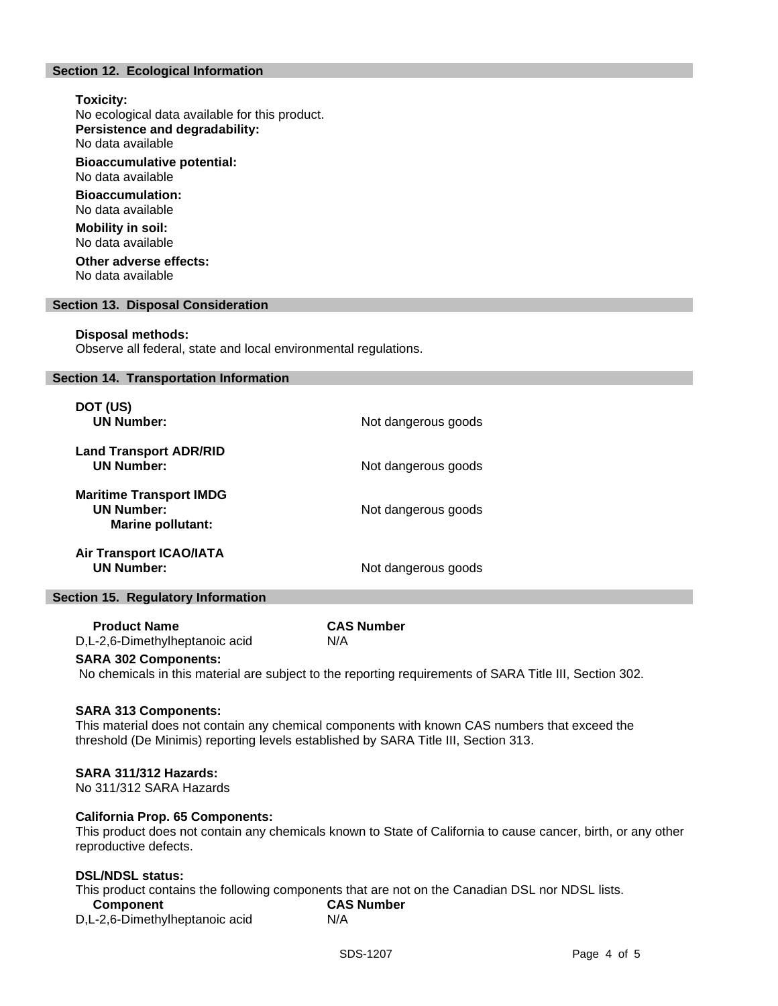# **Section 12. Ecological Information**

#### **Toxicity:**

No ecological data available for this product. **Persistence and degradability:** No data available

**Bioaccumulative potential:**

No data available **Bioaccumulation:**

No data available

**Mobility in soil:** No data available

**Other adverse effects:** No data available

#### **Section 13. Disposal Consideration**

#### **Disposal methods:**

Observe all federal, state and local environmental regulations.

#### **Section 14. Transportation Information**

| DOT (US)<br><b>UN Number:</b>                                                   | Not dangerous goods |
|---------------------------------------------------------------------------------|---------------------|
| <b>Land Transport ADR/RID</b><br><b>UN Number:</b>                              | Not dangerous goods |
| <b>Maritime Transport IMDG</b><br><b>UN Number:</b><br><b>Marine pollutant:</b> | Not dangerous goods |
| <b>Air Transport ICAO/IATA</b><br>UN Number:                                    | Not dangerous goods |

#### **Section 15. Regulatory Information**

 **Product Name CAS Number** D,L-2,6-Dimethylheptanoic acid N/A

#### **SARA 302 Components:**

No chemicals in this material are subject to the reporting requirements of SARA Title III, Section 302.

#### **SARA 313 Components:**

This material does not contain any chemical components with known CAS numbers that exceed the threshold (De Minimis) reporting levels established by SARA Title III, Section 313.

#### **SARA 311/312 Hazards:**

No 311/312 SARA Hazards

### **California Prop. 65 Components:**

This product does not contain any chemicals known to State of California to cause cancer, birth, or any other reproductive defects.

#### **DSL/NDSL status:**

This product contains the following components that are not on the Canadian DSL nor NDSL lists.

| <b>Component</b>               | <b>CAS Number</b> |
|--------------------------------|-------------------|
| D,L-2,6-Dimethylheptanoic acid | N/A               |